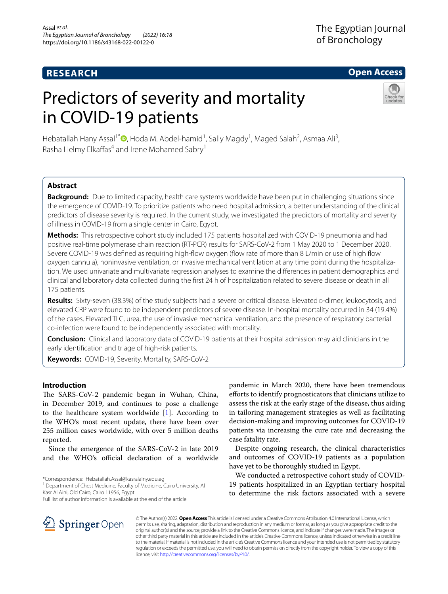## **RESEARCH**

## **Open Access**

# Predictors of severity and mortality in COVID-19 patients



Hebatallah Hany Assal<sup>1\*</sup><sup>®</sup>[,](http://orcid.org/0000-0002-4081-0775) Hoda M. Abdel-hamid<sup>1</sup>, Sally Magdy<sup>1</sup>, Maged Salah<sup>2</sup>, Asmaa Ali<sup>3</sup>, Rasha Helmy Elkaffas<sup>4</sup> and Irene Mohamed Sabry<sup>1</sup>

## **Abstract**

**Background:** Due to limited capacity, health care systems worldwide have been put in challenging situations since the emergence of COVID-19. To prioritize patients who need hospital admission, a better understanding of the clinical predictors of disease severity is required. In the current study, we investigated the predictors of mortality and severity of illness in COVID-19 from a single center in Cairo, Egypt.

**Methods:** This retrospective cohort study included 175 patients hospitalized with COVID-19 pneumonia and had positive real-time polymerase chain reaction (RT-PCR) results for SARS-CoV-2 from 1 May 2020 to 1 December 2020. Severe COVID-19 was defined as requiring high-flow oxygen (flow rate of more than 8 L/min or use of high flow oxygen cannula), noninvasive ventilation, or invasive mechanical ventilation at any time point during the hospitaliza‑ tion. We used univariate and multivariate regression analyses to examine the diferences in patient demographics and clinical and laboratory data collected during the frst 24 h of hospitalization related to severe disease or death in all 175 patients.

**Results:** Sixty-seven (38.3%) of the study subjects had a severe or critical disease. Elevated d-dimer, leukocytosis, and elevated CRP were found to be independent predictors of severe disease. In-hospital mortality occurred in 34 (19.4%) of the cases. Elevated TLC, urea, the use of invasive mechanical ventilation, and the presence of respiratory bacterial co-infection were found to be independently associated with mortality.

**Conclusion:** Clinical and laboratory data of COVID-19 patients at their hospital admission may aid clinicians in the early identifcation and triage of high-risk patients.

**Keywords:** COVID-19, Severity, Mortality, SARS-CoV-2

## **Introduction**

The SARS-CoV-2 pandemic began in Wuhan, China, in December 2019, and continues to pose a challenge to the healthcare system worldwide [[1](#page-7-0)]. According to the WHO's most recent update, there have been over 255 million cases worldwide, with over 5 million deaths reported.

Since the emergence of the SARS-CoV-2 in late 2019 and the WHO's official declaration of a worldwide

\*Correspondence: Hebatallah.Assal@kasralainy.edu.eg

<sup>1</sup> Department of Chest Medicine, Faculty of Medicine, Cairo University, Al Kasr Al Aini, Old Cairo, Cairo 11956, Egypt

Full list of author information is available at the end of the article

pandemic in March 2020, there have been tremendous eforts to identify prognosticators that clinicians utilize to assess the risk at the early stage of the disease, thus aiding in tailoring management strategies as well as facilitating decision-making and improving outcomes for COVID-19 patients via increasing the cure rate and decreasing the case fatality rate.

Despite ongoing research, the clinical characteristics and outcomes of COVID-19 patients as a population have yet to be thoroughly studied in Egypt.

We conducted a retrospective cohort study of COVID-19 patients hospitalized in an Egyptian tertiary hospital to determine the risk factors associated with a severe



© The Author(s) 2022. **Open Access** This article is licensed under a Creative Commons Attribution 4.0 International License, which permits use, sharing, adaptation, distribution and reproduction in any medium or format, as long as you give appropriate credit to the original author(s) and the source, provide a link to the Creative Commons licence, and indicate if changes were made. The images or other third party material in this article are included in the article's Creative Commons licence, unless indicated otherwise in a credit line to the material. If material is not included in the article's Creative Commons licence and your intended use is not permitted by statutory regulation or exceeds the permitted use, you will need to obtain permission directly from the copyright holder. To view a copy of this licence, visit [http://creativecommons.org/licenses/by/4.0/.](http://creativecommons.org/licenses/by/4.0/)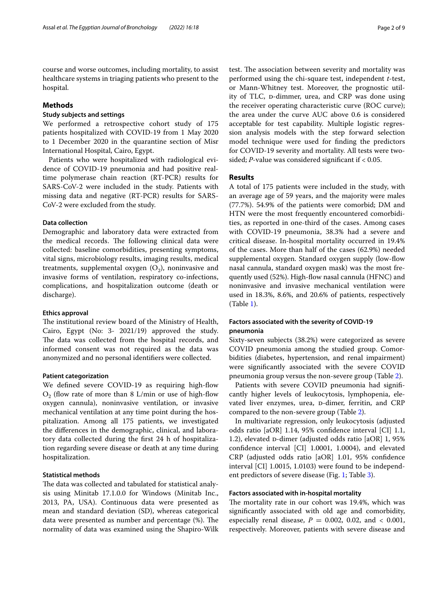course and worse outcomes, including mortality, to assist healthcare systems in triaging patients who present to the hospital.

## **Methods**

#### **Study subjects and settings**

We performed a retrospective cohort study of 175 patients hospitalized with COVID-19 from 1 May 2020 to 1 December 2020 in the quarantine section of Misr International Hospital, Cairo, Egypt.

Patients who were hospitalized with radiological evidence of COVID-19 pneumonia and had positive realtime polymerase chain reaction (RT-PCR) results for SARS-CoV-2 were included in the study. Patients with missing data and negative (RT-PCR) results for SARS-CoV-2 were excluded from the study.

#### **Data collection**

Demographic and laboratory data were extracted from the medical records. The following clinical data were collected: baseline comorbidities, presenting symptoms, vital signs, microbiology results, imaging results, medical treatments, supplemental oxygen  $(O_2)$ , noninvasive and invasive forms of ventilation, respiratory co-infections, complications, and hospitalization outcome (death or discharge).

#### **Ethics approval**

The institutional review board of the Ministry of Health, Cairo, Egypt (No: 3- 2021/19) approved the study. The data was collected from the hospital records, and informed consent was not required as the data was anonymized and no personal identifers were collected.

#### **Patient categorization**

We defned severe COVID-19 as requiring high-fow  $O<sub>2</sub>$  (flow rate of more than 8 L/min or use of high-flow oxygen cannula), noninvasive ventilation, or invasive mechanical ventilation at any time point during the hospitalization. Among all 175 patients, we investigated the diferences in the demographic, clinical, and laboratory data collected during the frst 24 h of hospitalization regarding severe disease or death at any time during hospitalization.

## **Statistical methods**

The data was collected and tabulated for statistical analysis using Minitab 17.1.0.0 for Windows (Minitab Inc., 2013, PA, USA). Continuous data were presented as mean and standard deviation (SD), whereas categorical data were presented as number and percentage (%). The normality of data was examined using the Shapiro-Wilk test. The association between severity and mortality was performed using the chi-square test, independent *t*-test, or Mann-Whitney test. Moreover, the prognostic utility of TLC, p-dimmer, urea, and CRP was done using the receiver operating characteristic curve (ROC curve); the area under the curve AUC above 0.6 is considered acceptable for test capability. Multiple logistic regression analysis models with the step forward selection model technique were used for fnding the predictors for COVID-19 severity and mortality. All tests were twosided; *P*-value was considered signifcant if < 0.05.

#### **Results**

A total of 175 patients were included in the study, with an average age of 59 years, and the majority were males (77.7%). 54.9% of the patients were comorbid; DM and HTN were the most frequently encountered comorbidities, as reported in one-third of the cases. Among cases with COVID-19 pneumonia, 38.3% had a severe and critical disease. In-hospital mortality occurred in 19.4% of the cases. More than half of the cases (62.9%) needed supplemental oxygen. Standard oxygen supply (low-fow nasal cannula, standard oxygen mask) was the most frequently used (52%). High-fow nasal cannula (HFNC) and noninvasive and invasive mechanical ventilation were used in 18.3%, 8.6%, and 20.6% of patients, respectively (Table [1\)](#page-2-0).

#### **Factors associated with the severity of COVID‑19 pneumonia**

Sixty-seven subjects (38.2%) were categorized as severe COVID pneumonia among the studied group. Comorbidities (diabetes, hypertension, and renal impairment) were signifcantly associated with the severe COVID pneumonia group versus the non-severe group (Table [2\)](#page-3-0).

Patients with severe COVID pneumonia had signifcantly higher levels of leukocytosis, lymphopenia, elevated liver enzymes, urea, D-dimer, ferritin, and CRP compared to the non-severe group (Table [2](#page-3-0)).

In multivariate regression, only leukocytosis (adjusted odds ratio [aOR] 1.14, 95% confdence interval [CI] 1.1, 1.2), elevated  $\alpha$ -dimer (adjusted odds ratio [aOR] 1, 95% confdence interval [CI] 1.0001, 1.0004), and elevated CRP (adjusted odds ratio [aOR] 1.01, 95% confdence interval [CI] 1.0015, 1.0103) were found to be independent predictors of severe disease (Fig. [1](#page-4-0); Table [3](#page-4-1)).

#### **Factors associated with in‑hospital mortality**

The mortality rate in our cohort was 19.4%, which was signifcantly associated with old age and comorbidity, especially renal disease,  $P = 0.002$ , 0.02, and < 0.001, respectively. Moreover, patients with severe disease and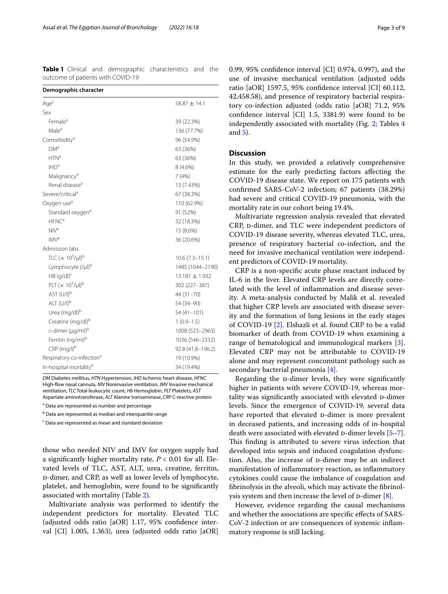<span id="page-2-0"></span>**Table 1** Clinical and demographic characteristics and the outcome of patients with COVID-19

| Demographic character                 |                    |
|---------------------------------------|--------------------|
| Aqe <sup>c</sup>                      | $58.87 \pm 14.1$   |
| Sex                                   |                    |
| Female <sup>a</sup>                   | 39 (22.3%)         |
| Male <sup>a</sup>                     | 136 (77.7%)        |
| Comorbidity <sup>a</sup>              | 96 (54.9%)         |
| DM <sup>a</sup>                       | 63 (36%)           |
| HTN <sup>a</sup>                      | 63 (36%)           |
| IHD <sup>a</sup>                      | 8 (4.6%)           |
| Malignancy <sup>a</sup>               | 7(4%)              |
| Renal disease <sup>a</sup>            | 13 (7.43%)         |
| Severe/critical <sup>a</sup>          | 67 (38.3%)         |
| Oxygen use <sup>a</sup>               | 110 (62.9%)        |
| Standard oxygen <sup>a</sup>          | 91 (52%)           |
| $H^{F}NC^{a}$                         | 32 (18.3%)         |
| NIV <sup>a</sup>                      | 15 (8.6%)          |
| IMV <sup>a</sup>                      | 36 (20.6%)         |
| Admission labs                        |                    |
| TLC $(x 10^3/\mu l)^b$                | $10.6(7.3 - 15.1)$ |
| Lymphocyte (/µl) <sup>b</sup>         | 1485 (1044-2190)   |
| $HB (q/dl)^c$                         | $13.187 \pm 1.932$ |
| PLT $(x 10^3/\mu l)^b$                | 302 (227-387)      |
| AST (U/I) <sup>b</sup>                | 44 (31-70)         |
| ALT $(U/I)^{b}$                       | 54 (34-90)         |
| Urea (mg/dl) <sup>b</sup>             | $54(41-101)$       |
| Creatine (mg/dl) <sup>b</sup>         | $1(0.9-1.5)$       |
| D-dimer (µg/ml) <sup>b</sup>          | 1008 (523-2963)    |
| Ferritin (ng/ml) <sup>b</sup>         | 1036 (546-2332)    |
| CRP (mg/l) <sup>b</sup>               | 92.8 (41.8-196.2)  |
| Respiratory co-infection <sup>a</sup> | 19 (10.9%)         |
| In-hospital mortality <sup>a</sup>    | 34 (19.4%)         |

*DM* Diabetes mellitus, *HTN* Hypertension, *IHD* Ischemic heart disease, *HFNC* High-fow nasal cannula, *NIV* Noninvasive ventilation, *IMV* Invasive mechanical ventilation, *TLC* Total leukocytic count, *Hb* Hemoglobin, *PLT* Platelets, *AST* Aspartate aminotransferase, *ALT* Alanine transaminase, *CRP* C-reactive protein

<sup>a</sup> Data are represented as number and percentage

<sup>b</sup> Data are represented as median and interquartile range

<sup>c</sup> Data are represented as mean and standard deviation

those who needed NIV and IMV for oxygen supply had a signifcantly higher mortality rate, *P* < 0.01 for all. Elevated levels of TLC, AST, ALT, urea, creatine, ferritin, d-dimer, and CRP, as well as lower levels of lymphocyte, platelet, and hemoglobin, were found to be signifcantly associated with mortality (Table [2\)](#page-3-0).

Multivariate analysis was performed to identify the independent predictors for mortality. Elevated TLC (adjusted odds ratio [aOR] 1.17, 95% confdence interval [CI] 1.005, 1.363), urea (adjusted odds ratio [aOR] 0.99, 95% confdence interval [CI] 0.974, 0.997), and the use of invasive mechanical ventilation (adjusted odds ratio [aOR] 1597.5, 95% confdence interval [CI] 60.112, 42,458.58), and presence of respiratory bacterial respiratory co-infection adjusted (odds ratio [aOR] 71.2, 95% confdence interval [CI] 1.5, 3381.9) were found to be independently associated with mortality (Fig. [2](#page-5-0); Tables [4](#page-6-0) and [5](#page-6-1)).

## **Discussion**

In this study, we provided a relatively comprehensive estimate for the early predicting factors afecting the COVID-19 disease state. We report on 175 patients with confrmed SARS-CoV-2 infection; 67 patients (38.29%) had severe and critical COVID-19 pneumonia, with the mortality rate in our cohort being 19.4%.

Multivariate regression analysis revealed that elevated CRP, p-dimer, and TLC were independent predictors of COVID-19 disease severity, whereas elevated TLC, urea, presence of respiratory bacterial co-infection, and the need for invasive mechanical ventilation were independent predictors of COVID-19 mortality.

CRP is a non-specifc acute phase reactant induced by IL-6 in the liver. Elevated CRP levels are directly correlated with the level of infammation and disease severity. A meta-analysis conducted by Malik et al. revealed that higher CRP levels are associated with disease severity and the formation of lung lesions in the early stages of COVID-19 [\[2](#page-7-1)]. Elshazli et al. found CRP to be a valid biomarker of death from COVID-19 when examining a range of hematological and immunological markers [\[3](#page-7-2)]. Elevated CRP may not be attributable to COVID-19 alone and may represent concomitant pathology such as secondary bacterial pneumonia [\[4](#page-7-3)].

Regarding the D-dimer levels, they were significantly higher in patients with severe COVID-19, whereas mortality was significantly associated with elevated D-dimer levels. Since the emergence of COVID-19, several data have reported that elevated D-dimer is more prevalent in deceased patients, and increasing odds of in-hospital death were associated with elevated  $\alpha$ -dimer levels [\[5](#page-7-4)[–7](#page-7-5)]. This finding is attributed to severe virus infection that developed into sepsis and induced coagulation dysfunction. Also, the increase of p-dimer may be an indirect manifestation of infammatory reaction, as infammatory cytokines could cause the imbalance of coagulation and fbrinolysis in the alveoli, which may activate the fbrinolysis system and then increase the level of  $D$ -dimer [[8\]](#page-7-6).

However, evidence regarding the causal mechanisms and whether the associations are specifc efects of SARS-CoV-2 infection or are consequences of systemic infammatory response is still lacking.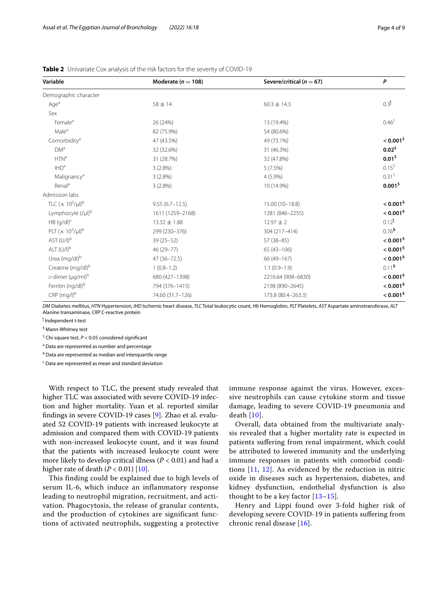| Variable                     | Moderate ( $n = 108$ ) | Severe/critical ( $n = 67$ ) | $\mathsf{P}$            |  |
|------------------------------|------------------------|------------------------------|-------------------------|--|
| Demographic character        |                        |                              |                         |  |
| Age <sup>a</sup>             | $58 \pm 14$            | $60.3 \pm 14.3$              | 0.3 <sup>1</sup>        |  |
| Sex                          |                        |                              |                         |  |
| Female <sup>a</sup>          | 26 (24%)               | 13 (19.4%)                   | $0.46^{\$}$             |  |
| Male <sup>a</sup>            | 82 (75.9%)             | 54 (80.6%)                   |                         |  |
| Comorbidity <sup>a</sup>     | 47 (43.5%)             | 49 (73.1%)                   | $< 0.001$ <sup>\$</sup> |  |
| <b>DM</b> <sup>a</sup>       | 32 (32.6%)             | 31 (46.3%)                   | $0.02^5$                |  |
| HTN <sup>a</sup>             | 31 (28.7%)             | 32 (47.8%)                   | $0.01^5$                |  |
| IHD <sup>a</sup>             | 3(2.8%)                | 5(7.5%)                      | 0.15 <sup>5</sup>       |  |
| Malignancy <sup>a</sup>      | $3(2.8\%)$             | $4(5.9\%)$                   | 0.31 <sup>5</sup>       |  |
| Renal <sup>a</sup>           | $3(2.8\%)$             | 10 (14.9%)                   | 0.001 <sup>5</sup>      |  |
| Admission labs               |                        |                              |                         |  |
| TLC $(x 10^3/\mu l)^b$       | $9.55(6.7 - 12.5)$     | 15.00 (10-18.8)              | $< 0.001$ <sup>§</sup>  |  |
| Lymphocyte (/µl)b            | 1611 (1259-2168)       | 1281 (846-2255)              | $< 0.001$ <sup>§</sup>  |  |
| $HB (g/dl)^c$                | $13.32 \pm 1.88$       | $12.97 \pm 2$                | $0.12^{1}$              |  |
| PLT $(x 10^3/\mu l)^b$       | 299 (230-376)          | 304 (217-414)                | $0.76^{\frac{5}{2}}$    |  |
| AST $(U/I)^b$                | $39(25 - 52)$          | $57(38-85)$                  | $< 0.001$ §             |  |
| $ALT (U/I)^b$                | 46 (29-77)             | $65(43 - 106)$               | $< 0.001$ <sup>§</sup>  |  |
| Urea (mg/dl) <sup>b</sup>    | 47 (36-72.5)           | 66 (49-167)                  | $< 0.001$ <sup>§</sup>  |  |
| Creatine (mg/dl)b            | $1(0.8-1.2)$           | $1.1(0.9-1.9)$               | 0.11 <sup>5</sup>       |  |
| D-dimer (µg/ml) <sup>b</sup> | 680 (427-1398)         | 2216.64 (908-6830)           | $< 0.001$ <sup>§</sup>  |  |
| Ferritin (ng/dl)b            | 794 (376-1415)         | 2198 (890-2645)              | $< 0.001$ <sup>§</sup>  |  |
| $CRP$ (mg/l) $b$             | 74.60 (31.7-126)       | 173.8 (80.4-263.3)           | $< 0.001$ §             |  |

<span id="page-3-0"></span>**Table 2** Univariate Cox analysis of the risk factors for the severity of COVID-19

*DM* Diabetes mellitus, *HTN* Hypertension, *IHD* Ischemic heart disease, *TLC* Total leukocytic count, *Hb* Hemoglobin, *PLT* Platelets, *AST* Aspartate aminotransferase, *ALT* Alanine transaminase, *CRP* C-reactive protein

ƪ Independent *t*-test

§ Mann-Whitney test

\$ Chi-square test, *P* < 0.05 considered signifcant

<sup>a</sup> Data are represented as number and percentage

<sup>b</sup> Data are represented as median and interquartile range

<sup>c</sup> Data are represented as mean and standard deviation

With respect to TLC, the present study revealed that higher TLC was associated with severe COVID-19 infection and higher mortality. Yuan et al. reported similar fndings in severe COVID-19 cases [\[9](#page-7-7)]. Zhao et al. evaluated 52 COVID-19 patients with increased leukocyte at admission and compared them with COVID-19 patients with non-increased leukocyte count, and it was found that the patients with increased leukocyte count were more likely to develop critical illness (*P* < 0.01) and had a higher rate of death  $(P < 0.01)$  [\[10](#page-7-8)].

This finding could be explained due to high levels of serum IL-6, which induce an inflammatory response leading to neutrophil migration, recruitment, and activation. Phagocytosis, the release of granular contents, and the production of cytokines are significant functions of activated neutrophils, suggesting a protective immune response against the virus. However, excessive neutrophils can cause cytokine storm and tissue damage, leading to severe COVID-19 pneumonia and death [\[10\]](#page-7-8).

Overall, data obtained from the multivariate analysis revealed that a higher mortality rate is expected in patients sufering from renal impairment, which could be attributed to lowered immunity and the underlying immune responses in patients with comorbid conditions [[11,](#page-7-9) [12\]](#page-7-10). As evidenced by the reduction in nitric oxide in diseases such as hypertension, diabetes, and kidney dysfunction, endothelial dysfunction is also thought to be a key factor  $[13-15]$  $[13-15]$ .

Henry and Lippi found over 3-fold higher risk of developing severe COVID-19 in patients sufering from chronic renal disease [[16](#page-7-13)].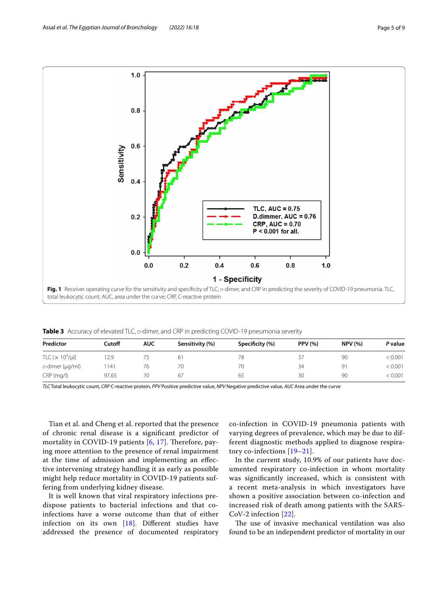

<span id="page-4-1"></span><span id="page-4-0"></span>Table 3 Accuracy of elevated TLC, p-dimer, and CRP in predicting COVID-19 pneumonia severity

| Predictor            | Cutoff | <b>AUC</b> | Sensitivity (%) | Specificity (%) | <b>PPV</b> (%) | <b>NPV (%)</b> | P value |
|----------------------|--------|------------|-----------------|-----------------|----------------|----------------|---------|
| TLC $(x 10^3/\mu l)$ | 12.9   | 75         | 61              | 78              | 37             | 90             | < 0.001 |
| D-dimer (µg/ml)      | 1141   | 76         | 70              | 70              | 34             | 91             | < 0.001 |
| $CRP$ (mg/l)         | 97.65  | 70         | 67              | 65              | 30             | 90             | < 0.001 |

*TLC* Total leukocytic count, *CRP* C-reactive protein, *PPV* Positive predictive value, *NPV* Negative predictive value, *AUC* Area under the curve

Tian et al. and Cheng et al. reported that the presence of chronic renal disease is a signifcant predictor of mortality in COVID-19 patients [[6](#page-7-14), [17](#page-7-15)]. Therefore, paying more attention to the presence of renal impairment at the time of admission and implementing an efective intervening strategy handling it as early as possible might help reduce mortality in COVID-19 patients suffering from underlying kidney disease.

It is well known that viral respiratory infections predispose patients to bacterial infections and that coinfections have a worse outcome than that of either infection on its own [\[18](#page-7-16)]. Diferent studies have addressed the presence of documented respiratory

co-infection in COVID-19 pneumonia patients with varying degrees of prevalence, which may be due to different diagnostic methods applied to diagnose respiratory co-infections [[19–](#page-7-17)[21\]](#page-7-18).

In the current study, 10.9% of our patients have documented respiratory co-infection in whom mortality was signifcantly increased, which is consistent with a recent meta-analysis in which investigators have shown a positive association between co-infection and increased risk of death among patients with the SARS-CoV-2 infection [\[22\]](#page-7-19).

The use of invasive mechanical ventilation was also found to be an independent predictor of mortality in our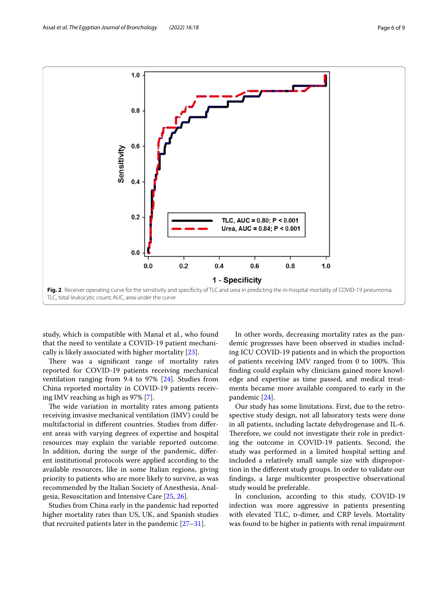

<span id="page-5-0"></span>study, which is compatible with Manal et al., who found that the need to ventilate a COVID-19 patient mechanically is likely associated with higher mortality [[23\]](#page-7-20).

There was a significant range of mortality rates reported for COVID-19 patients receiving mechanical ventilation ranging from 9.4 to 97% [\[24\]](#page-7-21). Studies from China reported mortality in COVID-19 patients receiving IMV reaching as high as 97% [[7\]](#page-7-5).

The wide variation in mortality rates among patients receiving invasive mechanical ventilation (IMV) could be multifactorial in diferent countries. Studies from diferent areas with varying degrees of expertise and hospital resources may explain the variable reported outcome. In addition, during the surge of the pandemic, diferent institutional protocols were applied according to the available resources, like in some Italian regions, giving priority to patients who are more likely to survive, as was recommended by the Italian Society of Anesthesia, Analgesia, Resuscitation and Intensive Care [[25,](#page-7-22) [26\]](#page-8-0).

Studies from China early in the pandemic had reported higher mortality rates than US, UK, and Spanish studies that recruited patients later in the pandemic [\[27](#page-8-1)[–31\]](#page-8-2).

In other words, decreasing mortality rates as the pandemic progresses have been observed in studies including ICU COVID-19 patients and in which the proportion of patients receiving IMV ranged from 0 to 100%. This fnding could explain why clinicians gained more knowledge and expertise as time passed, and medical treatments became more available compared to early in the pandemic [\[24](#page-7-21)].

Our study has some limitations. First, due to the retrospective study design, not all laboratory tests were done in all patients, including lactate dehydrogenase and IL-6. Therefore, we could not investigate their role in predicting the outcome in COVID-19 patients. Second, the study was performed in a limited hospital setting and included a relatively small sample size with disproportion in the diferent study groups. In order to validate our fndings, a large multicenter prospective observational study would be preferable.

In conclusion, according to this study, COVID-19 infection was more aggressive in patients presenting with elevated TLC, p-dimer, and CRP levels. Mortality was found to be higher in patients with renal impairment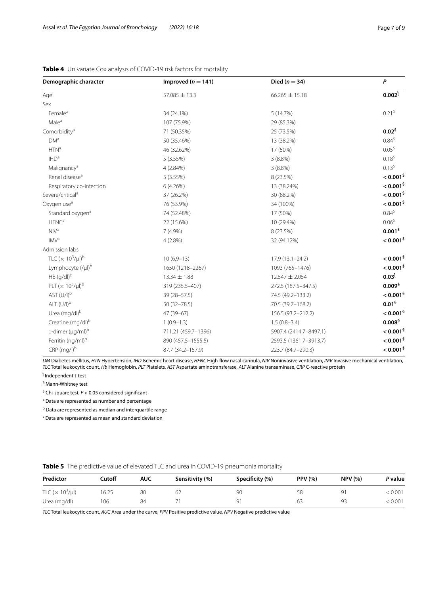| Demographic character         | Improved ( $n = 141$ ) | Died ( $n = 34$ )      |                         |
|-------------------------------|------------------------|------------------------|-------------------------|
| Age                           | $57.085 \pm 13.3$      | $66.265 \pm 15.18$     | $0.002^{\dagger}$       |
| Sex                           |                        |                        |                         |
| Female <sup>a</sup>           | 34 (24.1%)             | 5 (14.7%)              | 0.21 <sup>5</sup>       |
| Male <sup>a</sup>             | 107 (75.9%)            | 29 (85.3%)             |                         |
| Comorbidity <sup>a</sup>      | 71 (50.35%)            | 25 (73.5%)             | $0.02^{5}$              |
| DM <sup>a</sup>               | 50 (35.46%)            | 13 (38.2%)             | $0.84^{\$}$             |
| HTN <sup>a</sup>              | 46 (32.62%)            | 17 (50%)               | $0.05^{\$}$             |
| IHD <sup>a</sup>              | 5(3.55%)               | $3(8.8\%)$             | $0.18^{5}$              |
| Malignancy <sup>a</sup>       | 4 (2.84%)              | $3(8.8\%)$             | $0.13^{5}$              |
| Renal disease <sup>a</sup>    | 5 (3.55%)              | 8 (23.5%)              | $< 0.001$ <sup>\$</sup> |
| Respiratory co-infection      | 6 (4.26%)              | 13 (38.24%)            | $< 0.001$ <sup>\$</sup> |
| Severe/critical <sup>a</sup>  | 37 (26.2%)             | 30 (88.2%)             | $< 0.001$ <sup>\$</sup> |
| Oxygen use <sup>a</sup>       | 76 (53.9%)             | 34 (100%)              | $< 0.001$ <sup>\$</sup> |
| Standard oxygen <sup>a</sup>  | 74 (52.48%)            | 17 (50%)               | $0.84^{\$}$             |
| $HFNC^a$                      | 22 (15.6%)             | 10 (29.4%)             | $0.06^{\$}$             |
| NIV <sup>a</sup>              | 7(4.9%)                | 8 (23.5%)              | 0.001 <sup>5</sup>      |
| IMV <sup>a</sup>              | 4(2.8%)                | 32 (94.12%)            | $< 0.001$ <sup>\$</sup> |
| Admission labs                |                        |                        |                         |
| TLC $(x 10^3/\mu l)^b$        | $10(6.9-13)$           | $17.9(13.1 - 24.2)$    | $< 0.001$ <sup>§</sup>  |
| Lymphocyte (/µl) <sup>b</sup> | 1650 (1218-2267)       | 1093 (765-1476)        | $< 0.001$ <sup>§</sup>  |
| $HB (q/dl)^c$                 | 13.34 ± 1.88           | $12.547 \pm 2.054$     | $0.03^{\dagger}$        |
| PLT $(x 10^3/\mu l)^b$        | 319 (235.5-407)        | 272.5 (187.5-347.5)    | $0.009^{\$}$            |
| AST (U/I) <sup>b</sup>        | 39 (28-57.5)           | 74.5 (49.2-133.2)      | $< 0.001$ <sup>§</sup>  |
| $ALT (U/I)^b$                 | $50(32 - 78.5)$        | 70.5 (39.7-168.2)      | 0.01 <sup>6</sup>       |
| Urea (mg/dl) <sup>b</sup>     | 47 (39-67)             | 156.5 (93.2-212.2)     | $< 0.001$ <sup>§</sup>  |
| Creatine (mg/dl) <sup>b</sup> | $1(0.9-1.3)$           | $1.5(0.8-3.4)$         | 0.008 <sup>5</sup>      |
| D-dimer (µg/ml) <sup>b</sup>  | 711.21 (459.7-1396)    | 5907.4 (2414.7-8497.1) | $< 0.001$ §             |
| Ferritin (ng/ml) <sup>b</sup> | 890 (457.5-1555.5)     | 2593.5 (1361.7-3913.7) | $< 0.001$ <sup>§</sup>  |
| $CRP$ (mg/l) <sup>b</sup>     | 87.7 (34.2-157.9)      | 223.7 (84.7-290.3)     | $< 0.001$ <sup>§</sup>  |

## <span id="page-6-0"></span>**Table 4** Univariate Cox analysis of COVID-19 risk factors for mortality

*DM* Diabetes mellitus, *HTN* Hypertension, *IHD* Ischemic heart disease, *HFNC* High-fow nasal cannula, *NIV* Noninvasive ventilation, *IMV* Invasive mechanical ventilation, *TLC* Total leukocytic count, *Hb* Hemoglobin, *PLT* Platelets, *AST* Aspartate aminotransferase, *ALT* Alanine transaminase, *CRP* C-reactive protein

ƪ Independent t-test

§ Mann-Whitney test

\$ Chi-square test, *P* < 0.05 considered signifcant

<sup>a</sup> Data are represented as number and percentage

<sup>b</sup> Data are represented as median and interquartile range

<sup>c</sup> Data are represented as mean and standard deviation

## <span id="page-6-1"></span>**Table 5** The predictive value of elevated TLC and urea in COVID-19 pneumonia mortality

| Predictor            | Cutoff | AUC | Sensitivity (%) | Specificity (%) | <b>PPV (%)</b> | <b>NPV (%)</b> | P value |
|----------------------|--------|-----|-----------------|-----------------|----------------|----------------|---------|
| TLC $(x 10^3/\mu l)$ | 6.25   | 80  |                 | 90              | 58             | О1             | < 0.001 |
| Urea (mg/dl)         | 106    | 84  |                 | O.              | 63             | Q3             | < 0.001 |

*TLC* Total leukocytic count, *AUC* Area under the curve, *PPV* Positive predictive value, *NPV* Negative predictive value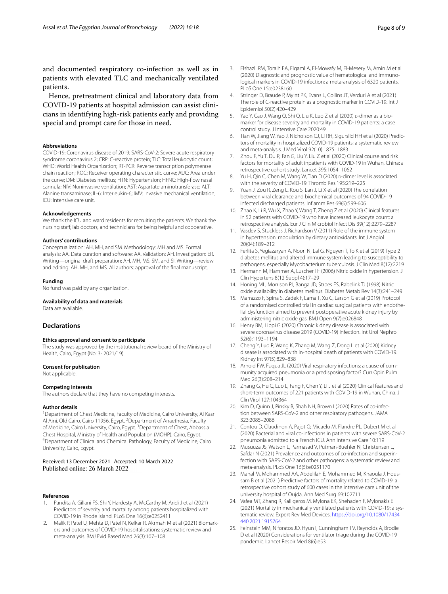and documented respiratory co-infection as well as in patients with elevated TLC and mechanically ventilated patients.

Hence, pretreatment clinical and laboratory data from COVID-19 patients at hospital admission can assist clinicians in identifying high-risk patients early and providing special and prompt care for those in need.

#### **Abbreviations**

COVID-19: Coronavirus disease of 2019; SARS-CoV-2: Severe acute respiratory syndrome coronavirus 2; CRP: C-reactive protein; TLC: Total leukocytic count; WHO: World Health Organization; RT-PCR: Reverse transcription polymerase chain reaction; ROC: Receiver operating characteristic curve; AUC: Area under the curve; DM: Diabetes mellitus; HTN: Hypertension; HFNC: High-fow nasal cannula; NIV: Noninvasive ventilation; AST: Aspartate aminotransferase; ALT: Alanine transaminase; IL-6: Interleukin-6; IMV: Invasive mechanical ventilation; ICU: Intensive care unit.

#### **Acknowledgements**

We thank the ICU and ward residents for recruiting the patients. We thank the nursing staf, lab doctors, and technicians for being helpful and cooperative.

#### **Authors' contributions**

Conceptualization: AH, MH, and SM. Methodology: MH and MS. Formal analysis: AA. Data curation and software: AA. Validation: AH. Investigation: ER. Writing—original draft preparation: AH, MH, MS, SM, and SI. Writing—review and editing: AH, MH, and MS. All authors: approval of the fnal manuscript.

#### **Funding**

No fund was paid by any organization.

#### **Availability of data and materials**

Data are available.

#### **Declarations**

#### **Ethics approval and consent to participate**

The study was approved by the institutional review board of the Ministry of Health, Cairo, Egypt (No: 3- 2021/19).

#### **Consent for publication**

Not applicable.

#### **Competing interests**

The authors declare that they have no competing interests.

#### **Author details**

<sup>1</sup> Department of Chest Medicine, Faculty of Medicine, Cairo University, Al Kasr Al Aini, Old Cairo, Cairo 11956, Egypt. <sup>2</sup> Department of Anaethesia, Faculty of Medicine, Cairo University, Cairo, Egypt. <sup>3</sup> Department of Chest, Abbassia Chest Hospital, Ministry of Health and Population (MOHP), Cairo, Egypt. 4 Department of Clinical and Chemical Pathology, Faculty of Medicine, Cairo University, Cairo, Egypt.

## Received: 13 December 2021 Accepted: 10 March 2022

#### **References**

- <span id="page-7-0"></span>1. Pandita A, Gillani FS, Shi Y, Hardesty A, McCarthy M, Aridi J et al (2021) Predictors of severity and mortality among patients hospitalized with COVID-19 in Rhode Island. PLoS One 16(6):e0252411
- <span id="page-7-1"></span>2. Malik P, Patel U, Mehta D, Patel N, Kelkar R, Akrmah M et al (2021) Biomarkers and outcomes of COVID-19 hospitalisations: systematic review and meta-analysis. BMJ Evid Based Med 26(3):107–108
- <span id="page-7-2"></span>3. Elshazli RM, Toraih EA, Elgaml A, El-Mowafy M, El-Mesery M, Amin M et al (2020) Diagnostic and prognostic value of hematological and immunological markers in COVID-19 infection: a meta-analysis of 6320 patients. PLoS One 15:e0238160
- <span id="page-7-3"></span>4. Stringer D, Braude P, Myint PK, Evans L, Collins JT, Verduri A et al (2021) The role of C-reactive protein as a prognostic marker in COVID-19. Int J Epidemiol 50(2):420–429
- <span id="page-7-4"></span>5. Yao Y, Cao J, Wang Q, Shi Q, Liu K, Luo Z et al (2020) p-dimer as a biomarker for disease severity and mortality in COVID-19 patients: a case control study. J Intensive Care 2020:49
- <span id="page-7-14"></span>6. Tian W, Jiang W, Yao J, Nicholson CJ, Li RH, Sigurslid HH et al (2020) Predic‑ tors of mortality in hospitalized COVID-19 patients: a systematic review and meta-analysis. J Med Virol 92(10):1875–1883
- <span id="page-7-5"></span>7. Zhou F, Yu T, Du R, Fan G, Liu Y, Liu Z et al (2020) Clinical course and risk factors for mortality of adult inpatients with COVID-19 in Wuhan, China: a retrospective cohort study. Lancet 395:1054–1062
- <span id="page-7-6"></span>8. Yu H, Qin C, Chen M, Wang W, Tian D (2020) p-dimer level is associated with the severity of COVID-19. Thromb Res 195:219–225
- <span id="page-7-7"></span>9. Yuan J, Zou R, Zeng L, Kou S, Lan J, Li X et al (2020) The correlation between viral clearance and biochemical outcomes of 94 COVID-19 infected discharged patients. Infamm Res 69(6):599-606
- <span id="page-7-8"></span>10. Zhao K, Li R, Wu X, Zhao Y, Wang T, Zheng Z et al (2020) Clinical features in 52 patients with COVID-19 who have increased leukocyte count: a retrospective analysis. Eur J Clin Microbiol Infect Dis 39(12):2279–2287
- <span id="page-7-9"></span>11. Vasdev S, Stuckless J, Richardson V (2011) Role of the immune system in hypertension: modulation by dietary antioxidants. Int J Angiol 20(04):189–212
- <span id="page-7-10"></span>12. Ferlita S, Yegiazaryan A, Noori N, Lal G, Nguyen T, To K et al (2019) Type 2 diabetes mellitus and altered immune system leading to susceptibility to pathogens, especially Mycobacterium tuberculosis. J Clin Med 8(12):2219
- <span id="page-7-11"></span>13. Hermann M, Flammer A, Luscher TF (2006) Nitric oxide in hypertension. J Clin Hypertens 8(12 Suppl 4):17–29
- 14. Honing ML, Morrison PJ, Banga JD, Stroes ES, Rabelink TJ (1998) Nitric oxide availability in diabetes mellitus. Diabetes Metab Rev 14(3):241–249
- <span id="page-7-12"></span>15. Marrazzo F, Spina S, Zadek F, Lama T, Xu C, Larson G et al (2019) Protocol of a randomised controlled trial in cardiac surgical patients with endothelial dysfunction aimed to prevent postoperative acute kidney injury by administering nitric oxide gas. BMJ Open 9(7):e026848
- <span id="page-7-13"></span>16. Henry BM, Lippi G (2020) Chronic kidney disease is associated with severe coronavirus disease 2019 (COVID-19) infection. Int Urol Nephrol 52(6):1193–1194
- <span id="page-7-15"></span>17. Cheng Y, Luo R, Wang K, Zhang M, Wang Z, Dong L et al (2020) Kidney disease is associated with in-hospital death of patients with COVID-19. Kidney Int 97(5):829–838
- <span id="page-7-16"></span>18. Arnold FW, Fugua JL (2020) Viral respiratory infections: a cause of community acquired pneumonia or a predisposing factor? Curr Opin Pulm Med 26(3):208–214
- <span id="page-7-17"></span>19. Zhang G, Hu C, Luo L, Fang F, Chen Y, Li J et al (2020) Clinical features and short-term outcomes of 221 patients with COVID-19 in Wuhan, China. J Clin Virol 127:104364
- 20. Kim D, Quinn J, Pinsky B, Shah NH, Brown I (2020) Rates of co-infection between SARS-CoV-2 and other respiratory pathogens. JAMA 323:2085–2086
- <span id="page-7-18"></span>21. Contou D, Claudinon A, Pajot O, Micaëlo M, Flandre PL, Dubert M et al (2020) Bacterial and viral co-infections in patients with severe SARS-CoV-2 pneumonia admitted to a French ICU. Ann Intensive Care 10:119
- <span id="page-7-19"></span>22. Musuuza JS, Watson L, Parmasad V, Putman-Buehler N, Christensen L, Safdar N (2021) Prevalence and outcomes of co-infection and superinfection with SARS-CoV-2 and other pathogens: a systematic review and meta-analysis. PLoS One 16(5):e0251170
- <span id="page-7-20"></span>23. Manal M, Mohammed AA, Abdelilah E, Mohammed M, Khaoula J, Houssam B et al (2021) Predictive factors of mortality related to COVID-19: a retrospective cohort study of 600 cases in the intensive care unit of the university hospital of Oujda. Ann Med Surg 69:102711
- <span id="page-7-21"></span>24. Vafea MT, Zhang R, Kalligeros M, Mylona EK, Shehadeh F, Mylonakis E (2021) Mortality in mechanically ventilated patients with COVID-19: a sys‑ tematic review. Expert Rev Med Devices. [https://doi.org/10.1080/17434](https://doi.org/10.1080/17434440.2021.1915764) [440.2021.1915764](https://doi.org/10.1080/17434440.2021.1915764)
- <span id="page-7-22"></span>25. Feinstein MM, Niforatos JD, Hyun I, Cunningham TV, Reynolds A, Brodie D et al (2020) Considerations for ventilator triage during the COVID-19 pandemic. Lancet Respir Med 8(6):e53